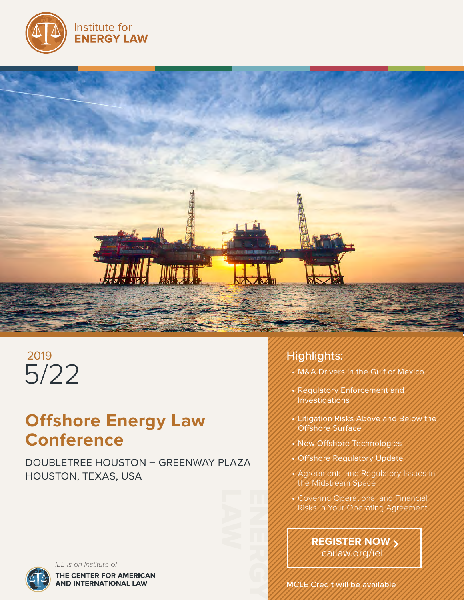



# 5/22 2019

# **Offshore Energy Law Conference**

DOUBLETREE HOUSTON – GREENWAY PLAZA HOUSTON, TEXAS, USA



*IEL is an Institute of*THE CENTER FOR AMERICAN **AND INTERNATIONAL LAW** 

# Highlights:

- M&A Drivers in the Gulf of Mexico
- Regulatory Enforcement and Investigations
- Litigation Risks Above and Below the Offshore Surface
- New Offshore Technologies
- **Offshore Regulatory Update**
- Agreements and Regulatory Issues in the Midstream Space
- Covering Operational and Financial Risks in Your Operating Agreement

**REGISTER NOW** cailaw.org/iel

ENERGY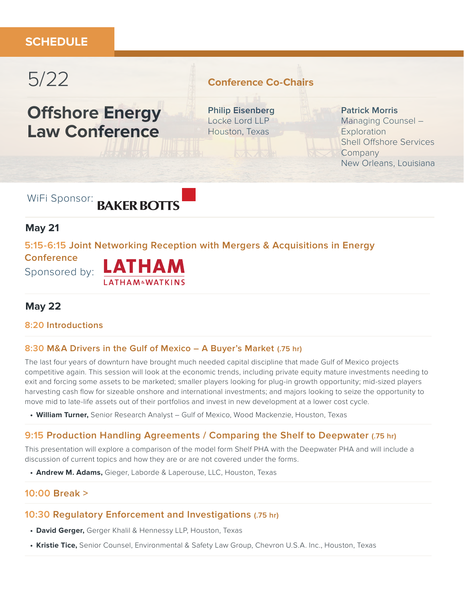# **SCHEDULE**

# 5/22

# **Offshore Energy Law Conference**

# **Conference Co-Chairs**

**Philip Eisenberg** Locke Lord LLP Houston, Texas

#### **Patrick Morris**

Managing Counsel – **Exploration** Shell Offshore Services **Company** New Orleans, Louisiana

WiFi Sponsor: BAKER BOTTS

## **May 21**

**5:15-6:15 Joint Networking Reception with Mergers & Acquisitions in Energy** 

**Conference**



## **May 22**

#### **8:20 Introductions**

#### **8:30 M&A Drivers in the Gulf of Mexico – A Buyer's Market (.75 hr)**

The last four years of downturn have brought much needed capital discipline that made Gulf of Mexico projects competitive again. This session will look at the economic trends, including private equity mature investments needing to exit and forcing some assets to be marketed; smaller players looking for plug-in growth opportunity; mid-sized players harvesting cash flow for sizeable onshore and international investments; and majors looking to seize the opportunity to move mid to late-life assets out of their portfolios and invest in new development at a lower cost cycle.

**• William Turner,** Senior Research Analyst – Gulf of Mexico, Wood Mackenzie, Houston, Texas

#### **9:15 Production Handling Agreements / Comparing the Shelf to Deepwater (.75 hr)**

This presentation will explore a comparison of the model form Shelf PHA with the Deepwater PHA and will include a discussion of current topics and how they are or are not covered under the forms.

**• Andrew M. Adams,** Gieger, Laborde & Laperouse, LLC, Houston, Texas

#### **10:00 Break >**

#### **10:30 Regulatory Enforcement and Investigations (.75 hr)**

- **• David Gerger,** Gerger Khalil & Hennessy LLP, Houston, Texas
- **• Kristie Tice,** Senior Counsel, Environmental & Safety Law Group, Chevron U.S.A. Inc., Houston, Texas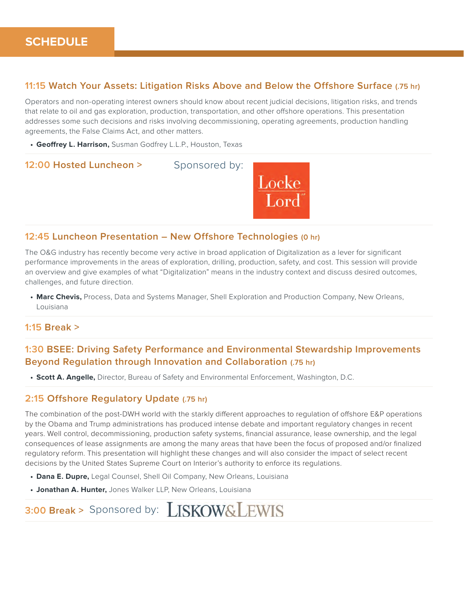#### **11:15 Watch Your Assets: Litigation Risks Above and Below the Offshore Surface (.75 hr)**

Operators and non-operating interest owners should know about recent judicial decisions, litigation risks, and trends that relate to oil and gas exploration, production, transportation, and other offshore operations. This presentation addresses some such decisions and risks involving decommissioning, operating agreements, production handling agreements, the False Claims Act, and other matters.

**• Geoffrey L. Harrison,** Susman Godfrey L.L.P., Houston, Texas



#### **12:45 Luncheon Presentation – New Offshore Technologies (0 hr)**

The O&G industry has recently become very active in broad application of Digitalization as a lever for significant performance improvements in the areas of exploration, drilling, production, safety, and cost. This session will provide an overview and give examples of what "Digitalization" means in the industry context and discuss desired outcomes, challenges, and future direction.

**• Marc Chevis,** Process, Data and Systems Manager, Shell Exploration and Production Company, New Orleans, Louisiana

#### **1:15 Break >**

#### **1:30 BSEE: Driving Safety Performance and Environmental Stewardship Improvements Beyond Regulation through Innovation and Collaboration (.75 hr)**

**• Scott A. Angelle,** Director, Bureau of Safety and Environmental Enforcement, Washington, D.C.

#### **2:15 Offshore Regulatory Update (.75 hr)**

The combination of the post-DWH world with the starkly different approaches to regulation of offshore E&P operations by the Obama and Trump administrations has produced intense debate and important regulatory changes in recent years. Well control, decommissioning, production safety systems, financial assurance, lease ownership, and the legal consequences of lease assignments are among the many areas that have been the focus of proposed and/or finalized regulatory reform. This presentation will highlight these changes and will also consider the impact of select recent decisions by the United States Supreme Court on Interior's authority to enforce its regulations.

- **• Dana E. Dupre,** Legal Counsel, Shell Oil Company, New Orleans, Louisiana
- **• Jonathan A. Hunter,** Jones Walker LLP, New Orleans, Louisiana

# **3:00 Break >** Sponsored by: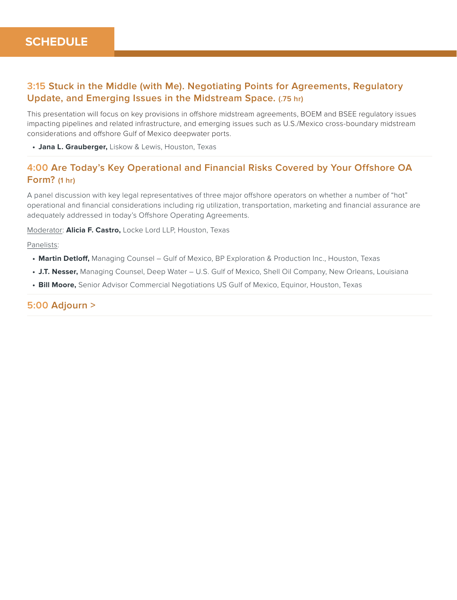### **3:15 Stuck in the Middle (with Me). Negotiating Points for Agreements, Regulatory Update, and Emerging Issues in the Midstream Space. (.75 hr)**

This presentation will focus on key provisions in offshore midstream agreements, BOEM and BSEE regulatory issues impacting pipelines and related infrastructure, and emerging issues such as U.S./Mexico cross-boundary midstream considerations and offshore Gulf of Mexico deepwater ports.

**• Jana L. Grauberger,** Liskow & Lewis, Houston, Texas

### **4:00 Are Today's Key Operational and Financial Risks Covered by Your Offshore OA Form? (1 hr)**

A panel discussion with key legal representatives of three major offshore operators on whether a number of "hot" operational and financial considerations including rig utilization, transportation, marketing and financial assurance are adequately addressed in today's Offshore Operating Agreements.

Moderator: **Alicia F. Castro,** Locke Lord LLP, Houston, Texas

Panelists:

- **• Martin Detloff,** Managing Counsel Gulf of Mexico, BP Exploration & Production Inc., Houston, Texas
- **• J.T. Nesser,** Managing Counsel, Deep Water U.S. Gulf of Mexico, Shell Oil Company, New Orleans, Louisiana
- **• Bill Moore,** Senior Advisor Commercial Negotiations US Gulf of Mexico, Equinor, Houston, Texas

#### **5:00 Adjourn >**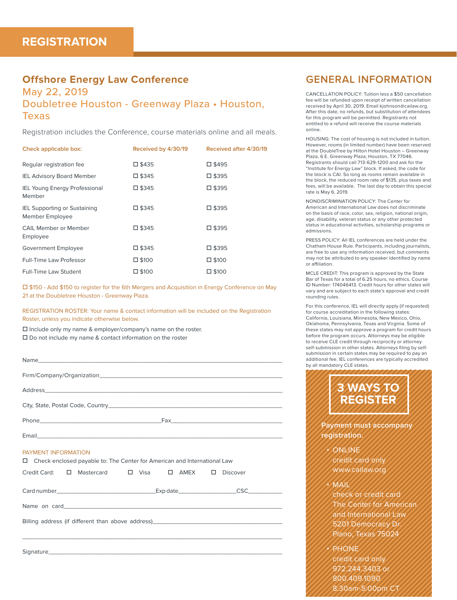### **Offshore Energy Law Conference**

## May 22, 2019 Doubletree Houston - Greenway Plaza • Houston, Texas

Registration includes the Conference, course materials online and all meals.

| Check applicable box:                                  | Received by 4/30/19 | Received after 4/30/19 |
|--------------------------------------------------------|---------------------|------------------------|
| Regular registration fee                               | □ \$435             | □ \$495                |
| <b>IEL Advisory Board Member</b>                       | □ \$345             | □ \$395                |
| <b>IEL Young Energy Professional</b><br>Member         | 口 \$345             | □ \$395                |
| <b>IEL Supporting or Sustaining</b><br>Member Employee | □ \$345             | □ \$395                |
| CAIL Member or Member<br>Employee                      | □ \$345             | □ \$395                |
| Government Employee                                    | □ \$345             | □ \$395                |
| Full-Time Law Professor                                | $\square$ \$100     | $\square$ \$100        |
| Full-Time Law Student                                  | $\square$ \$100     | $\square$ \$100        |

□ \$150 - Add \$150 to register for the 6th Mergers and Acquisition in Energy Conference on May 21 at the Doubletree Houston - Greenway Plaza.

REGISTRATION ROSTER: Your name & contact information will be included on the Registration Roster, unless you indicate otherwise below.

 $\square$  Include only my name & employer/company's name on the roster.  $\square$  Do not include my name & contact information on the roster

| PAYMENT INFORMATION<br>Check enclosed payable to: The Center for American and International Law |  |          |  |  |
|-------------------------------------------------------------------------------------------------|--|----------|--|--|
| Mastercard □ Visa □ AMEX □<br>Credit Card:<br>П.                                                |  | Discover |  |  |
|                                                                                                 |  |          |  |  |
|                                                                                                 |  |          |  |  |
| Billing address (if different than above address) _______________________________               |  |          |  |  |
|                                                                                                 |  |          |  |  |
|                                                                                                 |  |          |  |  |

## **GENERAL INFORMATION**

CANCELLATION POLICY: Tuition less a \$50 cancellation fee will be refunded upon receipt of written cancellation received by April 30, 2019. Email kjohnson@cailaw.org. After this date, no refunds, but substitution of attendees for this program will be permitted. Registrants not entitled to a refund will receive the course materials online.

HOUSING: The cost of housing is not included in tuition. However, rooms (in limited number) have been reserved at the DoubleTree by Hilton Hotel Houston – Greenway Plaza, 6 E. Greenway Plaza, Houston, TX 77046. Registrants should call 713-629-1200 and ask for the "Institute for Energy Law" block. If asked, the code for the block is CAI. So long as rooms remain available in the block, the reduced room rate of \$135, plus taxes and fees, will be available. The last day to obtain this special rate is May 6, 2019.

NONDISCRIMINATION POLICY: The Center for American and International Law does not discriminate on the basis of race, color, sex, religion, national origin, age, disability, veteran status or any other protected status in educational activities, scholarship programs or admissions.

PRESS POLICY: All IEL conferences are held under the Chatham House Rule. Participants, including journalists, are free to use any information received, but comments may not be attributed to any speaker identified by name or affiliation.

MCLE CREDIT: This program is approved by the State Bar of Texas for a total of 6.25 hours, no ethics. Course ID Number: 174046413. Credit hours for other states will vary and are subject to each state's approval and credit rounding rules.

**5 WAYS TO BE A WAYS TO BE SUBMISSION** in certain states may be required to pay an<br>additional fee. IEL conferences are typically accredited **By all mandatory CLE states.**<br> **REGISTER** For this conference, IEL will directly apply (if requested) for course accreditation in the following states: California, Louisiana, Minnesota, New Mexico, Ohio, Oklahoma, Pennsylvania, Texas and Virginia. Some of these states may not approve a program for credit hours before the program occurs. Attorneys may be eligible to receive CLE credit through reciprocity or attorney self-submission in other states. Attorneys filing by selfadditional fee. IEL conferences are typically accredited



The Center for American and International Law 5201 Democracy D Plano, Texas 75024

**PHONE** credit card only 972.244.3403 o 800.409.1090 8:30am-5:00pm CT